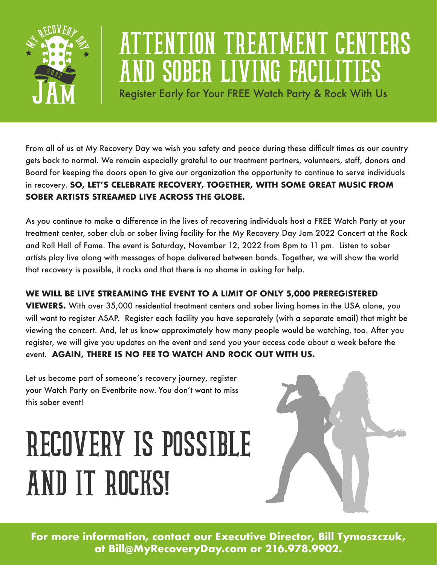

## ATTENTION TREATMENT CENTERS **ASOBER LIVING FACILITY**

Register Early for Your FREE Watch Party & Rock With Us

From all of us at My Recovery Day we wish you safety and peace during these difficult times as our country gets back to normal. We remain especially grateful to our treatment partners, volunteers, staff, donors and Board for keeping the doors open to give our organization the opportunity to continue to serve individuals in recovery. **SO, LET'S CELEBRATE RECOVERY, TOGETHER, WITH SOME GREAT MUSIC FROM SOBER ARTISTS STREAMED LIVE ACROSS THE GLOBE.** 

As you continue to make a difference in the lives of recovering individuals host a FREE Watch Party at your treatment center, sober club or sober living facility for the My Recovery Day Jam 2022 Concert at the Rock and Roll Hall of Fame. The event is Saturday, November 12, 2022 from 8pm to 11 pm. Listen to sober artists play live along with messages of hope delivered between bands. Together, we will show the world that recovery is possible, it rocks and that there is no shame in asking for help.

## **WE WILL BE LIVE STREAMING THE EVENT TO A LIMIT OF ONLY 5,000 PREREGISTERED**

**VIEWERS.** With over 35,000 residential treatment centers and sober living homes in the USA alone, you will want to register ASAP. Register each facility you have separately (with a separate email) that might be viewing the concert. And, let us know approximately how many people would be watching, too. After you register, we will give you updates on the event and send you your access code about a week before the event. **AGAIN, THERE IS NO FEE TO WATCH AND ROCK OUT WITH US.** 

Let us become part of someone's recovery journey, register your Watch Party on [Eventbrite](https://www.eventbrite.com/e/my-recovery-day-jam-2022-recovery-is-possible-and-it-rocks-tickets-295193069417) now. You don't want to miss this sober event!

## RECOVERY IS POSSIBLE AND IT ROCKS!



**For more information, contact our Executive Director, Bill Tymoszczuk, at Bill@MyRecoveryDay.com or 216.978.9902.**